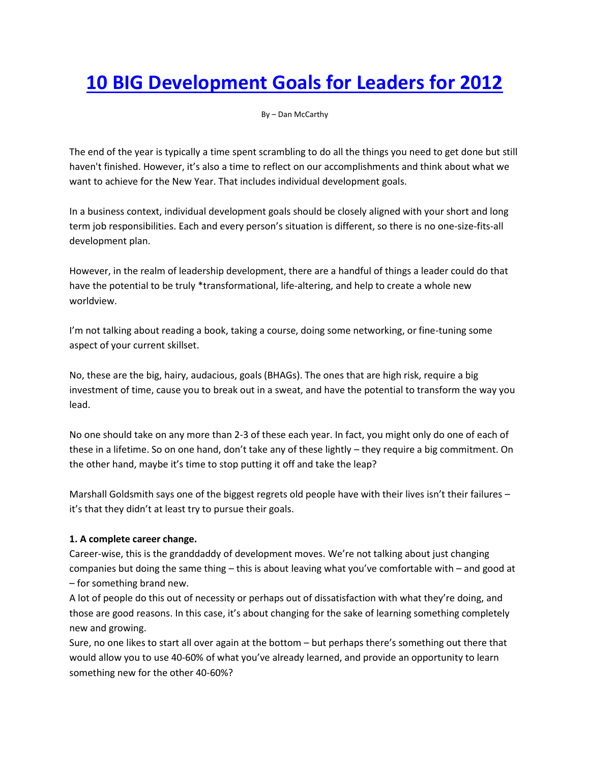# **[10 BIG Development Goals for Leaders for 2012](http://www.greatleadershipbydan.com/2011/12/10-big-development-goals-for-leaders.html)**

By – Dan McCarthy

The end of the year is typically a time spent scrambling to do all the things you need to get done but still haven't finished. However, it's also a time to reflect on our accomplishments and think about what we want to achieve for the New Year. That includes individual development goals.

In a business context, individual development goals should be closely aligned with your short and long term job responsibilities. Each and every person's situation is different, so there is no one-size-fits-all development plan.

However, in the realm of leadership development, there are a handful of things a leader could do that have the potential to be truly \*transformational, life-altering, and help to create a whole new worldview.

I'm not talking about reading a book, taking a course, doing some networking, or fine-tuning some aspect of your current skillset.

No, these are the big, hairy, audacious, goals (BHAGs). The ones that are high risk, require a big investment of time, cause you to break out in a sweat, and have the potential to transform the way you lead.

No one should take on any more than 2-3 of these each year. In fact, you might only do one of each of these in a lifetime. So on one hand, don't take any of these lightly – they require a big commitment. On the other hand, maybe it's time to stop putting it off and take the leap?

Marshall Goldsmith says one of the biggest regrets old people have with their lives isn't their failures it's that they didn't at least try to pursue their goals.

## **1. A complete career change.**

Career-wise, this is the granddaddy of development moves. We're not talking about just changing companies but doing the same thing – this is about leaving what you've comfortable with – and good at – for something brand new.

A lot of people do this out of necessity or perhaps out of dissatisfaction with what they're doing, and those are good reasons. In this case, it's about changing for the sake of learning something completely new and growing.

Sure, no one likes to start all over again at the bottom – but perhaps there's something out there that would allow you to use 40-60% of what you've already learned, and provide an opportunity to learn something new for the other 40-60%?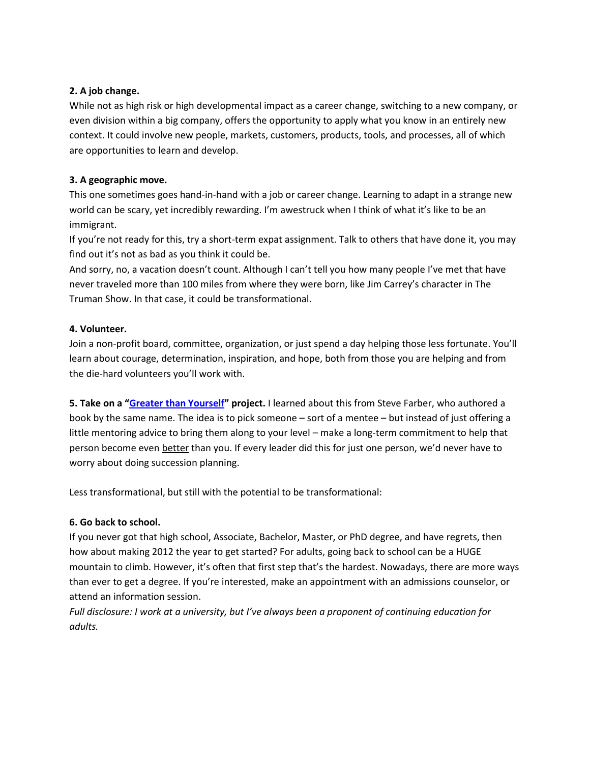## **2. A job change.**

While not as high risk or high developmental impact as a career change, switching to a new company, or even division within a big company, offers the opportunity to apply what you know in an entirely new context. It could involve new people, markets, customers, products, tools, and processes, all of which are opportunities to learn and develop.

## **3. A geographic move.**

This one sometimes goes hand-in-hand with a job or career change. Learning to adapt in a strange new world can be scary, yet incredibly rewarding. I'm awestruck when I think of what it's like to be an immigrant.

If you're not ready for this, try a short-term expat assignment. Talk to others that have done it, you may find out it's not as bad as you think it could be.

And sorry, no, a vacation doesn't count. Although I can't tell you how many people I've met that have never traveled more than 100 miles from where they were born, like Jim Carrey's character in The Truman Show. In that case, it could be transformational.

## **4. Volunteer.**

Join a non-profit board, committee, organization, or just spend a day helping those less fortunate. You'll learn about courage, determination, inspiration, and hope, both from those you are helping and from the die-hard volunteers you'll work with.

**5. Take on a "[Greater than Yourself](http://www.greaterthanyourself.com/)" project.** I learned about this from Steve Farber, who authored a book by the same name. The idea is to pick someone – sort of a mentee – but instead of just offering a little mentoring advice to bring them along to your level – make a long-term commitment to help that person become even better than you. If every leader did this for just one person, we'd never have to worry about doing succession planning.

Less transformational, but still with the potential to be transformational:

### **6. Go back to school.**

If you never got that high school, Associate, Bachelor, Master, or PhD degree, and have regrets, then how about making 2012 the year to get started? For adults, going back to school can be a HUGE mountain to climb. However, it's often that first step that's the hardest. Nowadays, there are more ways than ever to get a degree. If you're interested, make an appointment with an admissions counselor, or attend an information session.

*Full disclosure: I work at a university, but I've always been a proponent of continuing education for adults.*